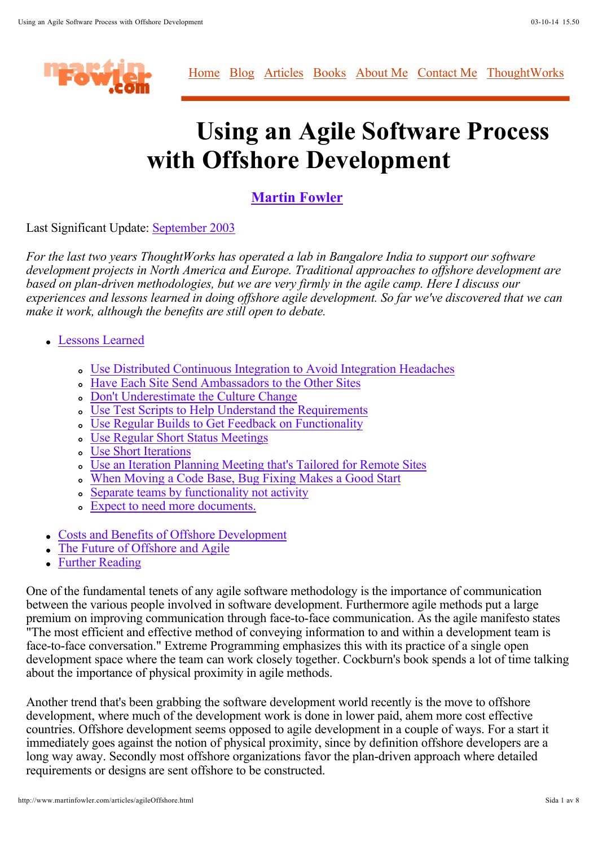

Home Blog Articles Books About Me Contact Me ThoughtWorks

# **Using an Agile Software Process with Offshore Development**

## **Martin Fowler**

Last Significant Update: September 2003

*For the last two years ThoughtWorks has operated a lab in Bangalore India to support our software development projects in North America and Europe. Traditional approaches to offshore development are based on plan-driven methodologies, but we are very firmly in the agile camp. Here I discuss our experiences and lessons learned in doing offshore agile development. So far we've discovered that we can make it work, although the benefits are still open to debate.*

- Lessons Learned
	- Use Distributed Continuous Integration to Avoid Integration Headaches
	- Have Each Site Send Ambassadors to the Other Sites
	- o Don't Underestimate the Culture Change
	- Use Test Scripts to Help Understand the Requirements
	- Use Regular Builds to Get Feedback on Functionality
	- Use Regular Short Status Meetings
	- Use Short Iterations
	- Use an Iteration Planning Meeting that's Tailored for Remote Sites
	- When Moving a Code Base, Bug Fixing Makes a Good Start
	- Separate teams by functionality not activity
	- Expect to need more documents.
- Costs and Benefits of Offshore Development
- The Future of Offshore and Agile
- Further Reading

One of the fundamental tenets of any agile software methodology is the importance of communication between the various people involved in software development. Furthermore agile methods put a large premium on improving communication through face-to-face communication. As the agile manifesto states "The most efficient and effective method of conveying information to and within a development team is face-to-face conversation." Extreme Programming emphasizes this with its practice of a single open development space where the team can work closely together. Cockburn's book spends a lot of time talking about the importance of physical proximity in agile methods.

Another trend that's been grabbing the software development world recently is the move to offshore development, where much of the development work is done in lower paid, ahem more cost effective countries. Offshore development seems opposed to agile development in a couple of ways. For a start it immediately goes against the notion of physical proximity, since by definition offshore developers are a long way away. Secondly most offshore organizations favor the plan-driven approach where detailed requirements or designs are sent offshore to be constructed.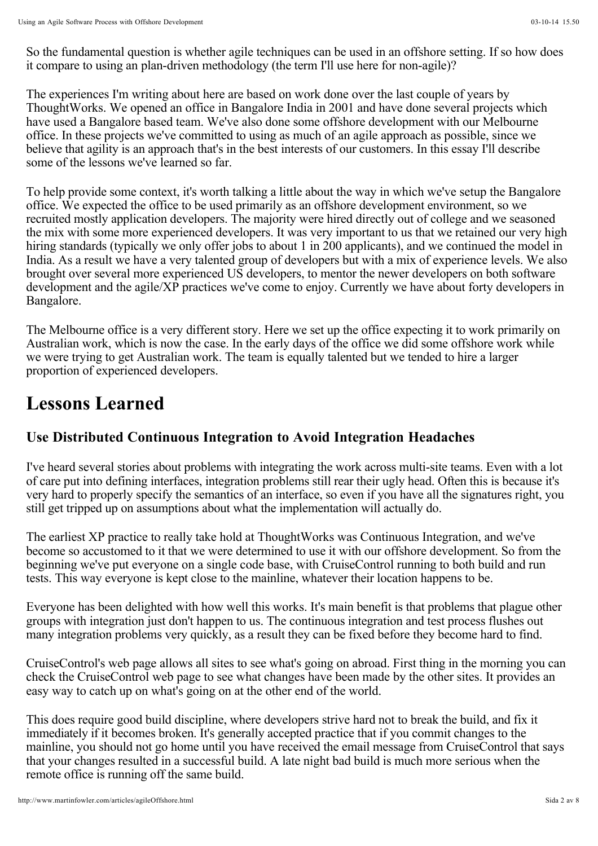So the fundamental question is whether agile techniques can be used in an offshore setting. If so how does it compare to using an plan-driven methodology (the term I'll use here for non-agile)?

The experiences I'm writing about here are based on work done over the last couple of years by ThoughtWorks. We opened an office in Bangalore India in 2001 and have done several projects which have used a Bangalore based team. We've also done some offshore development with our Melbourne office. In these projects we've committed to using as much of an agile approach as possible, since we believe that agility is an approach that's in the best interests of our customers. In this essay I'll describe some of the lessons we've learned so far.

To help provide some context, it's worth talking a little about the way in which we've setup the Bangalore office. We expected the office to be used primarily as an offshore development environment, so we recruited mostly application developers. The majority were hired directly out of college and we seasoned the mix with some more experienced developers. It was very important to us that we retained our very high hiring standards (typically we only offer jobs to about 1 in 200 applicants), and we continued the model in India. As a result we have a very talented group of developers but with a mix of experience levels. We also brought over several more experienced US developers, to mentor the newer developers on both software development and the agile/XP practices we've come to enjoy. Currently we have about forty developers in Bangalore.

The Melbourne office is a very different story. Here we set up the office expecting it to work primarily on Australian work, which is now the case. In the early days of the office we did some offshore work while we were trying to get Australian work. The team is equally talented but we tended to hire a larger proportion of experienced developers.

# **Lessons Learned**

# **Use Distributed Continuous Integration to Avoid Integration Headaches**

I've heard several stories about problems with integrating the work across multi-site teams. Even with a lot of care put into defining interfaces, integration problems still rear their ugly head. Often this is because it's very hard to properly specify the semantics of an interface, so even if you have all the signatures right, you still get tripped up on assumptions about what the implementation will actually do.

The earliest XP practice to really take hold at ThoughtWorks was Continuous Integration, and we've become so accustomed to it that we were determined to use it with our offshore development. So from the beginning we've put everyone on a single code base, with CruiseControl running to both build and run tests. This way everyone is kept close to the mainline, whatever their location happens to be.

Everyone has been delighted with how well this works. It's main benefit is that problems that plague other groups with integration just don't happen to us. The continuous integration and test process flushes out many integration problems very quickly, as a result they can be fixed before they become hard to find.

CruiseControl's web page allows all sites to see what's going on abroad. First thing in the morning you can check the CruiseControl web page to see what changes have been made by the other sites. It provides an easy way to catch up on what's going on at the other end of the world.

This does require good build discipline, where developers strive hard not to break the build, and fix it immediately if it becomes broken. It's generally accepted practice that if you commit changes to the mainline, you should not go home until you have received the email message from CruiseControl that says that your changes resulted in a successful build. A late night bad build is much more serious when the remote office is running off the same build.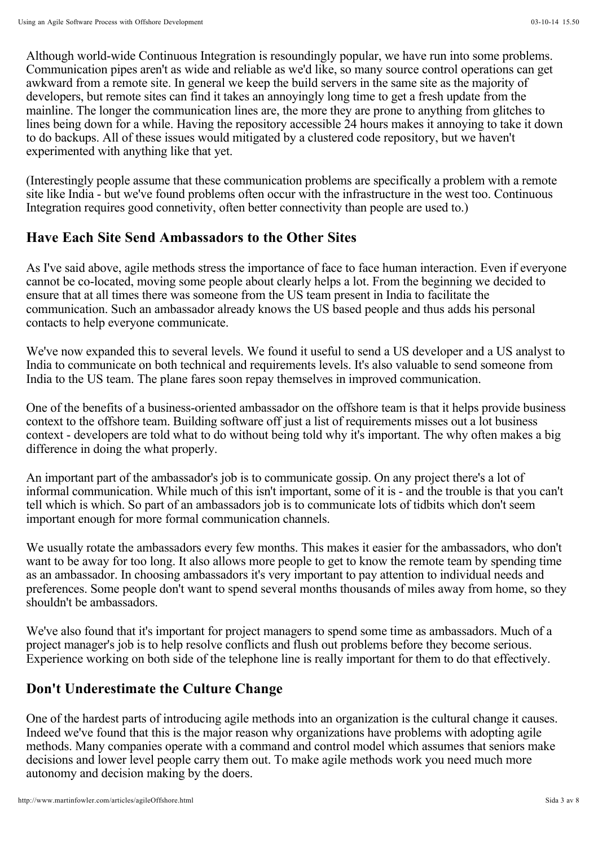Although world-wide Continuous Integration is resoundingly popular, we have run into some problems. Communication pipes aren't as wide and reliable as we'd like, so many source control operations can get awkward from a remote site. In general we keep the build servers in the same site as the majority of developers, but remote sites can find it takes an annoyingly long time to get a fresh update from the mainline. The longer the communication lines are, the more they are prone to anything from glitches to lines being down for a while. Having the repository accessible 24 hours makes it annoying to take it down to do backups. All of these issues would mitigated by a clustered code repository, but we haven't experimented with anything like that yet.

(Interestingly people assume that these communication problems are specifically a problem with a remote site like India - but we've found problems often occur with the infrastructure in the west too. Continuous Integration requires good connetivity, often better connectivity than people are used to.)

#### **Have Each Site Send Ambassadors to the Other Sites**

As I've said above, agile methods stress the importance of face to face human interaction. Even if everyone cannot be co-located, moving some people about clearly helps a lot. From the beginning we decided to ensure that at all times there was someone from the US team present in India to facilitate the communication. Such an ambassador already knows the US based people and thus adds his personal contacts to help everyone communicate.

We've now expanded this to several levels. We found it useful to send a US developer and a US analyst to India to communicate on both technical and requirements levels. It's also valuable to send someone from India to the US team. The plane fares soon repay themselves in improved communication.

One of the benefits of a business-oriented ambassador on the offshore team is that it helps provide business context to the offshore team. Building software off just a list of requirements misses out a lot business context - developers are told what to do without being told why it's important. The why often makes a big difference in doing the what properly.

An important part of the ambassador's job is to communicate gossip. On any project there's a lot of informal communication. While much of this isn't important, some of it is - and the trouble is that you can't tell which is which. So part of an ambassadors job is to communicate lots of tidbits which don't seem important enough for more formal communication channels.

We usually rotate the ambassadors every few months. This makes it easier for the ambassadors, who don't want to be away for too long. It also allows more people to get to know the remote team by spending time as an ambassador. In choosing ambassadors it's very important to pay attention to individual needs and preferences. Some people don't want to spend several months thousands of miles away from home, so they shouldn't be ambassadors.

We've also found that it's important for project managers to spend some time as ambassadors. Much of a project manager's job is to help resolve conflicts and flush out problems before they become serious. Experience working on both side of the telephone line is really important for them to do that effectively.

#### **Don't Underestimate the Culture Change**

One of the hardest parts of introducing agile methods into an organization is the cultural change it causes. Indeed we've found that this is the major reason why organizations have problems with adopting agile methods. Many companies operate with a command and control model which assumes that seniors make decisions and lower level people carry them out. To make agile methods work you need much more autonomy and decision making by the doers.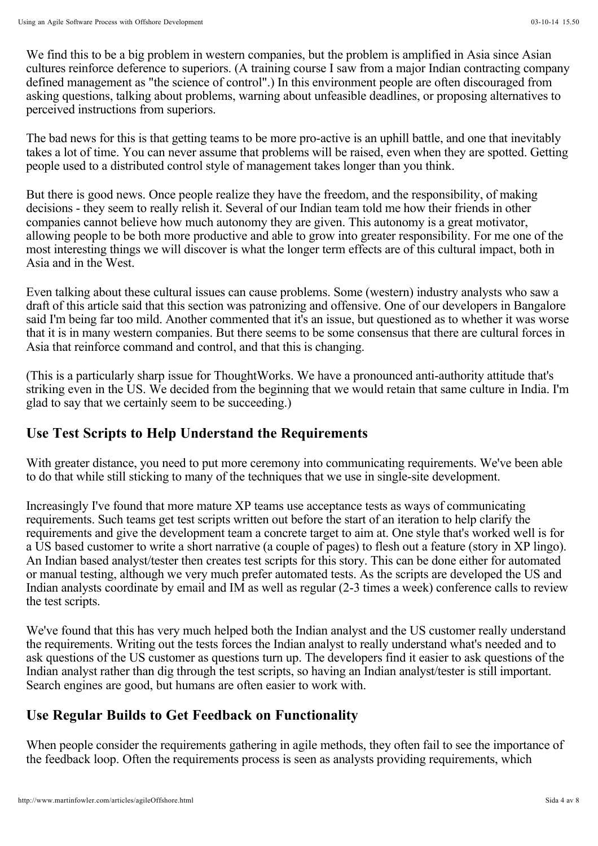We find this to be a big problem in western companies, but the problem is amplified in Asia since Asian cultures reinforce deference to superiors. (A training course I saw from a major Indian contracting company defined management as "the science of control".) In this environment people are often discouraged from asking questions, talking about problems, warning about unfeasible deadlines, or proposing alternatives to perceived instructions from superiors.

The bad news for this is that getting teams to be more pro-active is an uphill battle, and one that inevitably takes a lot of time. You can never assume that problems will be raised, even when they are spotted. Getting people used to a distributed control style of management takes longer than you think.

But there is good news. Once people realize they have the freedom, and the responsibility, of making decisions - they seem to really relish it. Several of our Indian team told me how their friends in other companies cannot believe how much autonomy they are given. This autonomy is a great motivator, allowing people to be both more productive and able to grow into greater responsibility. For me one of the most interesting things we will discover is what the longer term effects are of this cultural impact, both in Asia and in the West.

Even talking about these cultural issues can cause problems. Some (western) industry analysts who saw a draft of this article said that this section was patronizing and offensive. One of our developers in Bangalore said I'm being far too mild. Another commented that it's an issue, but questioned as to whether it was worse that it is in many western companies. But there seems to be some consensus that there are cultural forces in Asia that reinforce command and control, and that this is changing.

(This is a particularly sharp issue for ThoughtWorks. We have a pronounced anti-authority attitude that's striking even in the US. We decided from the beginning that we would retain that same culture in India. I'm glad to say that we certainly seem to be succeeding.)

### **Use Test Scripts to Help Understand the Requirements**

With greater distance, you need to put more ceremony into communicating requirements. We've been able to do that while still sticking to many of the techniques that we use in single-site development.

Increasingly I've found that more mature XP teams use acceptance tests as ways of communicating requirements. Such teams get test scripts written out before the start of an iteration to help clarify the requirements and give the development team a concrete target to aim at. One style that's worked well is for a US based customer to write a short narrative (a couple of pages) to flesh out a feature (story in XP lingo). An Indian based analyst/tester then creates test scripts for this story. This can be done either for automated or manual testing, although we very much prefer automated tests. As the scripts are developed the US and Indian analysts coordinate by email and IM as well as regular (2-3 times a week) conference calls to review the test scripts.

We've found that this has very much helped both the Indian analyst and the US customer really understand the requirements. Writing out the tests forces the Indian analyst to really understand what's needed and to ask questions of the US customer as questions turn up. The developers find it easier to ask questions of the Indian analyst rather than dig through the test scripts, so having an Indian analyst/tester is still important. Search engines are good, but humans are often easier to work with.

### **Use Regular Builds to Get Feedback on Functionality**

When people consider the requirements gathering in agile methods, they often fail to see the importance of the feedback loop. Often the requirements process is seen as analysts providing requirements, which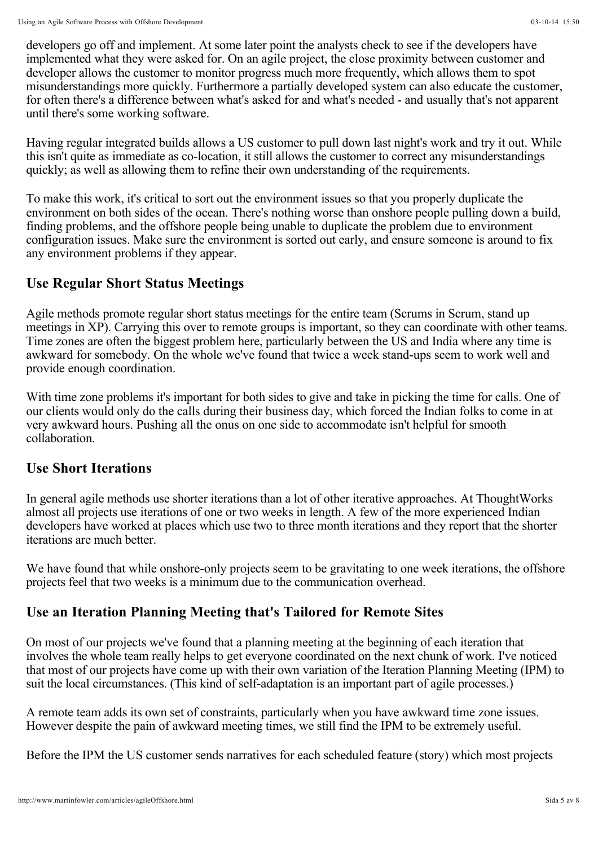developers go off and implement. At some later point the analysts check to see if the developers have implemented what they were asked for. On an agile project, the close proximity between customer and developer allows the customer to monitor progress much more frequently, which allows them to spot misunderstandings more quickly. Furthermore a partially developed system can also educate the customer, for often there's a difference between what's asked for and what's needed - and usually that's not apparent until there's some working software.

Having regular integrated builds allows a US customer to pull down last night's work and try it out. While this isn't quite as immediate as co-location, it still allows the customer to correct any misunderstandings quickly; as well as allowing them to refine their own understanding of the requirements.

To make this work, it's critical to sort out the environment issues so that you properly duplicate the environment on both sides of the ocean. There's nothing worse than onshore people pulling down a build, finding problems, and the offshore people being unable to duplicate the problem due to environment configuration issues. Make sure the environment is sorted out early, and ensure someone is around to fix any environment problems if they appear.

### **Use Regular Short Status Meetings**

Agile methods promote regular short status meetings for the entire team (Scrums in Scrum, stand up meetings in XP). Carrying this over to remote groups is important, so they can coordinate with other teams. Time zones are often the biggest problem here, particularly between the US and India where any time is awkward for somebody. On the whole we've found that twice a week stand-ups seem to work well and provide enough coordination.

With time zone problems it's important for both sides to give and take in picking the time for calls. One of our clients would only do the calls during their business day, which forced the Indian folks to come in at very awkward hours. Pushing all the onus on one side to accommodate isn't helpful for smooth collaboration.

#### **Use Short Iterations**

In general agile methods use shorter iterations than a lot of other iterative approaches. At ThoughtWorks almost all projects use iterations of one or two weeks in length. A few of the more experienced Indian developers have worked at places which use two to three month iterations and they report that the shorter iterations are much better.

We have found that while onshore-only projects seem to be gravitating to one week iterations, the offshore projects feel that two weeks is a minimum due to the communication overhead.

# **Use an Iteration Planning Meeting that's Tailored for Remote Sites**

On most of our projects we've found that a planning meeting at the beginning of each iteration that involves the whole team really helps to get everyone coordinated on the next chunk of work. I've noticed that most of our projects have come up with their own variation of the Iteration Planning Meeting (IPM) to suit the local circumstances. (This kind of self-adaptation is an important part of agile processes.)

A remote team adds its own set of constraints, particularly when you have awkward time zone issues. However despite the pain of awkward meeting times, we still find the IPM to be extremely useful.

Before the IPM the US customer sends narratives for each scheduled feature (story) which most projects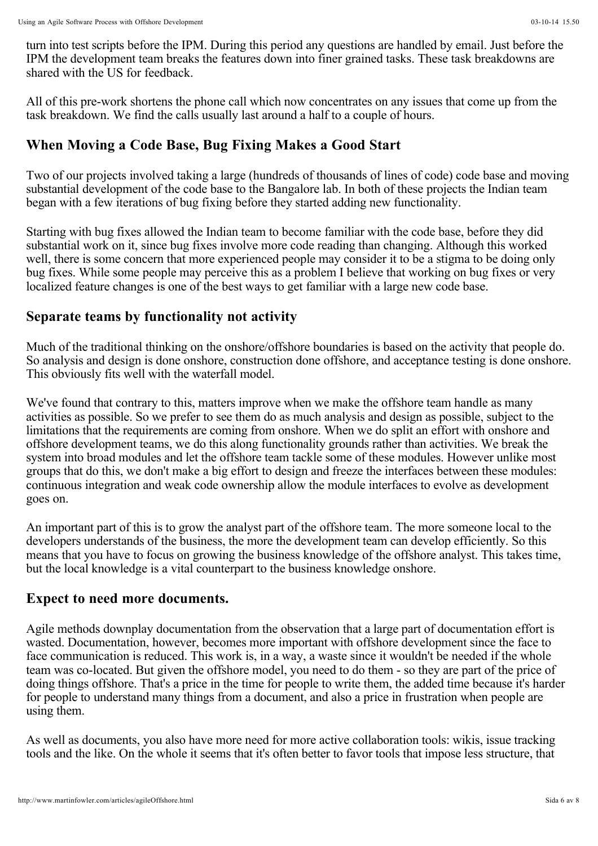turn into test scripts before the IPM. During this period any questions are handled by email. Just before the IPM the development team breaks the features down into finer grained tasks. These task breakdowns are shared with the US for feedback.

All of this pre-work shortens the phone call which now concentrates on any issues that come up from the task breakdown. We find the calls usually last around a half to a couple of hours.

### **When Moving a Code Base, Bug Fixing Makes a Good Start**

Two of our projects involved taking a large (hundreds of thousands of lines of code) code base and moving substantial development of the code base to the Bangalore lab. In both of these projects the Indian team began with a few iterations of bug fixing before they started adding new functionality.

Starting with bug fixes allowed the Indian team to become familiar with the code base, before they did substantial work on it, since bug fixes involve more code reading than changing. Although this worked well, there is some concern that more experienced people may consider it to be a stigma to be doing only bug fixes. While some people may perceive this as a problem I believe that working on bug fixes or very localized feature changes is one of the best ways to get familiar with a large new code base.

#### **Separate teams by functionality not activity**

Much of the traditional thinking on the onshore/offshore boundaries is based on the activity that people do. So analysis and design is done onshore, construction done offshore, and acceptance testing is done onshore. This obviously fits well with the waterfall model.

We've found that contrary to this, matters improve when we make the offshore team handle as many activities as possible. So we prefer to see them do as much analysis and design as possible, subject to the limitations that the requirements are coming from onshore. When we do split an effort with onshore and offshore development teams, we do this along functionality grounds rather than activities. We break the system into broad modules and let the offshore team tackle some of these modules. However unlike most groups that do this, we don't make a big effort to design and freeze the interfaces between these modules: continuous integration and weak code ownership allow the module interfaces to evolve as development goes on.

An important part of this is to grow the analyst part of the offshore team. The more someone local to the developers understands of the business, the more the development team can develop efficiently. So this means that you have to focus on growing the business knowledge of the offshore analyst. This takes time, but the local knowledge is a vital counterpart to the business knowledge onshore.

#### **Expect to need more documents.**

Agile methods downplay documentation from the observation that a large part of documentation effort is wasted. Documentation, however, becomes more important with offshore development since the face to face communication is reduced. This work is, in a way, a waste since it wouldn't be needed if the whole team was co-located. But given the offshore model, you need to do them - so they are part of the price of doing things offshore. That's a price in the time for people to write them, the added time because it's harder for people to understand many things from a document, and also a price in frustration when people are using them.

As well as documents, you also have more need for more active collaboration tools: wikis, issue tracking tools and the like. On the whole it seems that it's often better to favor tools that impose less structure, that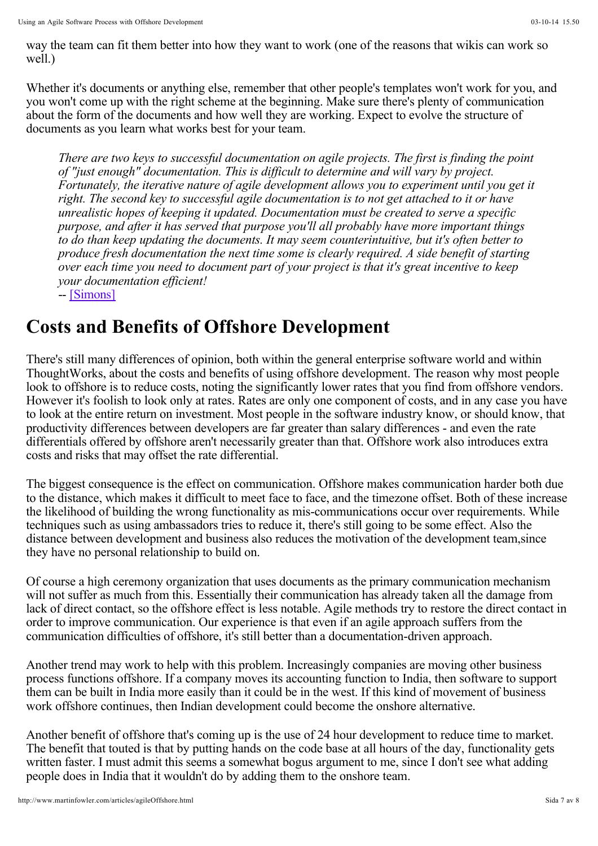way the team can fit them better into how they want to work (one of the reasons that wikis can work so well.)

Whether it's documents or anything else, remember that other people's templates won't work for you, and you won't come up with the right scheme at the beginning. Make sure there's plenty of communication about the form of the documents and how well they are working. Expect to evolve the structure of documents as you learn what works best for your team.

*There are two keys to successful documentation on agile projects. The first is finding the point of "just enough" documentation. This is difficult to determine and will vary by project. Fortunately, the iterative nature of agile development allows you to experiment until you get it right. The second key to successful agile documentation is to not get attached to it or have unrealistic hopes of keeping it updated. Documentation must be created to serve a specific purpose, and after it has served that purpose you'll all probably have more important things to do than keep updating the documents. It may seem counterintuitive, but it's often better to produce fresh documentation the next time some is clearly required. A side benefit of starting over each time you need to document part of your project is that it's great incentive to keep your documentation efficient!*

-- [Simons]

# **Costs and Benefits of Offshore Development**

There's still many differences of opinion, both within the general enterprise software world and within ThoughtWorks, about the costs and benefits of using offshore development. The reason why most people look to offshore is to reduce costs, noting the significantly lower rates that you find from offshore vendors. However it's foolish to look only at rates. Rates are only one component of costs, and in any case you have to look at the entire return on investment. Most people in the software industry know, or should know, that productivity differences between developers are far greater than salary differences - and even the rate differentials offered by offshore aren't necessarily greater than that. Offshore work also introduces extra costs and risks that may offset the rate differential.

The biggest consequence is the effect on communication. Offshore makes communication harder both due to the distance, which makes it difficult to meet face to face, and the timezone offset. Both of these increase the likelihood of building the wrong functionality as mis-communications occur over requirements. While techniques such as using ambassadors tries to reduce it, there's still going to be some effect. Also the distance between development and business also reduces the motivation of the development team,since they have no personal relationship to build on.

Of course a high ceremony organization that uses documents as the primary communication mechanism will not suffer as much from this. Essentially their communication has already taken all the damage from lack of direct contact, so the offshore effect is less notable. Agile methods try to restore the direct contact in order to improve communication. Our experience is that even if an agile approach suffers from the communication difficulties of offshore, it's still better than a documentation-driven approach.

Another trend may work to help with this problem. Increasingly companies are moving other business process functions offshore. If a company moves its accounting function to India, then software to support them can be built in India more easily than it could be in the west. If this kind of movement of business work offshore continues, then Indian development could become the onshore alternative.

Another benefit of offshore that's coming up is the use of 24 hour development to reduce time to market. The benefit that touted is that by putting hands on the code base at all hours of the day, functionality gets written faster. I must admit this seems a somewhat bogus argument to me, since I don't see what adding people does in India that it wouldn't do by adding them to the onshore team.